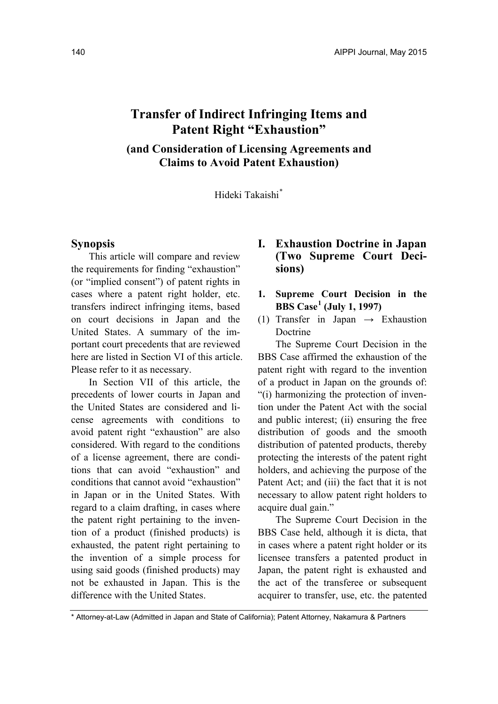# **Transfer of Indirect Infringing Items and Patent Right "Exhaustion"**

**(and Consideration of Licensing Agreements and Claims to Avoid Patent Exhaustion)** 

Hideki Takaishi\*

#### **Synopsis**

This article will compare and review the requirements for finding "exhaustion" (or "implied consent") of patent rights in cases where a patent right holder, etc. transfers indirect infringing items, based on court decisions in Japan and the United States. A summary of the important court precedents that are reviewed here are listed in Section VI of this article. Please refer to it as necessary.

In Section VII of this article, the precedents of lower courts in Japan and the United States are considered and license agreements with conditions to avoid patent right "exhaustion" are also considered. With regard to the conditions of a license agreement, there are conditions that can avoid "exhaustion" and conditions that cannot avoid "exhaustion" in Japan or in the United States. With regard to a claim drafting, in cases where the patent right pertaining to the invention of a product (finished products) is exhausted, the patent right pertaining to the invention of a simple process for using said goods (finished products) may not be exhausted in Japan. This is the difference with the United States.

## **I. Exhaustion Doctrine in Japan (Two Supreme Court Decisions)**

- **1. Supreme Court Decision in the BBS Case<sup>1</sup> (July 1, 1997)**
- (1) Transfer in Japan  $\rightarrow$  Exhaustion Doctrine

The Supreme Court Decision in the BBS Case affirmed the exhaustion of the patent right with regard to the invention of a product in Japan on the grounds of: "(i) harmonizing the protection of invention under the Patent Act with the social and public interest; (ii) ensuring the free distribution of goods and the smooth distribution of patented products, thereby protecting the interests of the patent right holders, and achieving the purpose of the Patent Act; and (iii) the fact that it is not necessary to allow patent right holders to acquire dual gain."

The Supreme Court Decision in the BBS Case held, although it is dicta, that in cases where a patent right holder or its licensee transfers a patented product in Japan, the patent right is exhausted and the act of the transferee or subsequent acquirer to transfer, use, etc. the patented

<sup>\*</sup> Attorney-at-Law (Admitted in Japan and State of California); Patent Attorney, Nakamura & Partners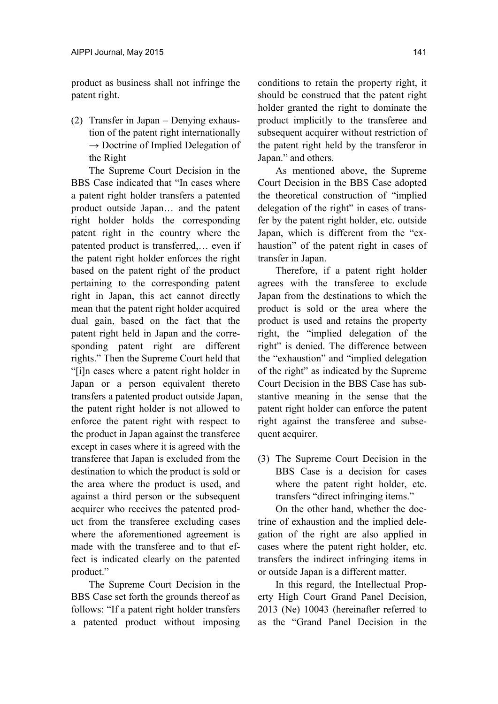product as business shall not infringe the patent right.

(2) Transfer in Japan – Denying exhaustion of the patent right internationally  $\rightarrow$  Doctrine of Implied Delegation of the Right

The Supreme Court Decision in the BBS Case indicated that "In cases where a patent right holder transfers a patented product outside Japan… and the patent right holder holds the corresponding patent right in the country where the patented product is transferred,… even if the patent right holder enforces the right based on the patent right of the product pertaining to the corresponding patent right in Japan, this act cannot directly mean that the patent right holder acquired dual gain, based on the fact that the patent right held in Japan and the corresponding patent right are different rights." Then the Supreme Court held that "[i]n cases where a patent right holder in Japan or a person equivalent thereto transfers a patented product outside Japan, the patent right holder is not allowed to enforce the patent right with respect to the product in Japan against the transferee except in cases where it is agreed with the transferee that Japan is excluded from the destination to which the product is sold or the area where the product is used, and against a third person or the subsequent acquirer who receives the patented product from the transferee excluding cases where the aforementioned agreement is made with the transferee and to that effect is indicated clearly on the patented product."

The Supreme Court Decision in the BBS Case set forth the grounds thereof as follows: "If a patent right holder transfers a patented product without imposing

conditions to retain the property right, it should be construed that the patent right holder granted the right to dominate the product implicitly to the transferee and subsequent acquirer without restriction of the patent right held by the transferor in Japan." and others.

As mentioned above, the Supreme Court Decision in the BBS Case adopted the theoretical construction of "implied delegation of the right" in cases of transfer by the patent right holder, etc. outside Japan, which is different from the "exhaustion" of the patent right in cases of transfer in Japan.

Therefore, if a patent right holder agrees with the transferee to exclude Japan from the destinations to which the product is sold or the area where the product is used and retains the property right, the "implied delegation of the right" is denied. The difference between the "exhaustion" and "implied delegation of the right" as indicated by the Supreme Court Decision in the BBS Case has substantive meaning in the sense that the patent right holder can enforce the patent right against the transferee and subsequent acquirer.

(3) The Supreme Court Decision in the BBS Case is a decision for cases where the patent right holder, etc. transfers "direct infringing items."

On the other hand, whether the doctrine of exhaustion and the implied delegation of the right are also applied in cases where the patent right holder, etc. transfers the indirect infringing items in or outside Japan is a different matter.

In this regard, the Intellectual Property High Court Grand Panel Decision, 2013 (Ne) 10043 (hereinafter referred to as the "Grand Panel Decision in the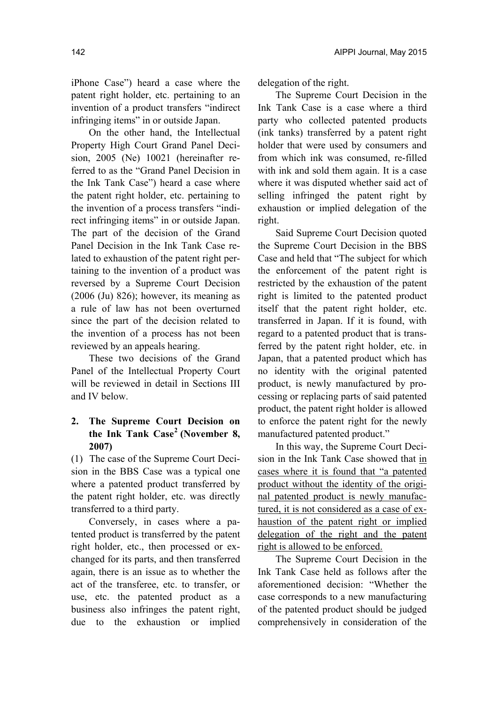iPhone Case") heard a case where the patent right holder, etc. pertaining to an invention of a product transfers "indirect infringing items" in or outside Japan.

On the other hand, the Intellectual Property High Court Grand Panel Decision, 2005 (Ne) 10021 (hereinafter referred to as the "Grand Panel Decision in the Ink Tank Case") heard a case where the patent right holder, etc. pertaining to the invention of a process transfers "indirect infringing items" in or outside Japan. The part of the decision of the Grand Panel Decision in the Ink Tank Case related to exhaustion of the patent right pertaining to the invention of a product was reversed by a Supreme Court Decision (2006 (Ju) 826); however, its meaning as a rule of law has not been overturned since the part of the decision related to the invention of a process has not been reviewed by an appeals hearing.

These two decisions of the Grand Panel of the Intellectual Property Court will be reviewed in detail in Sections III and IV below.

### **2. The Supreme Court Decision on the Ink Tank Case<sup>2</sup> (November 8, 2007)**

(1) The case of the Supreme Court Decision in the BBS Case was a typical one where a patented product transferred by the patent right holder, etc. was directly transferred to a third party.

Conversely, in cases where a patented product is transferred by the patent right holder, etc., then processed or exchanged for its parts, and then transferred again, there is an issue as to whether the act of the transferee, etc. to transfer, or use, etc. the patented product as a business also infringes the patent right, due to the exhaustion or implied

delegation of the right.

The Supreme Court Decision in the Ink Tank Case is a case where a third party who collected patented products (ink tanks) transferred by a patent right holder that were used by consumers and from which ink was consumed, re-filled with ink and sold them again. It is a case where it was disputed whether said act of selling infringed the patent right by exhaustion or implied delegation of the right.

Said Supreme Court Decision quoted the Supreme Court Decision in the BBS Case and held that "The subject for which the enforcement of the patent right is restricted by the exhaustion of the patent right is limited to the patented product itself that the patent right holder, etc. transferred in Japan. If it is found, with regard to a patented product that is transferred by the patent right holder, etc. in Japan, that a patented product which has no identity with the original patented product, is newly manufactured by processing or replacing parts of said patented product, the patent right holder is allowed to enforce the patent right for the newly manufactured patented product."

In this way, the Supreme Court Decision in the Ink Tank Case showed that in cases where it is found that "a patented product without the identity of the original patented product is newly manufactured, it is not considered as a case of exhaustion of the patent right or implied delegation of the right and the patent right is allowed to be enforced.

The Supreme Court Decision in the Ink Tank Case held as follows after the aforementioned decision: "Whether the case corresponds to a new manufacturing of the patented product should be judged comprehensively in consideration of the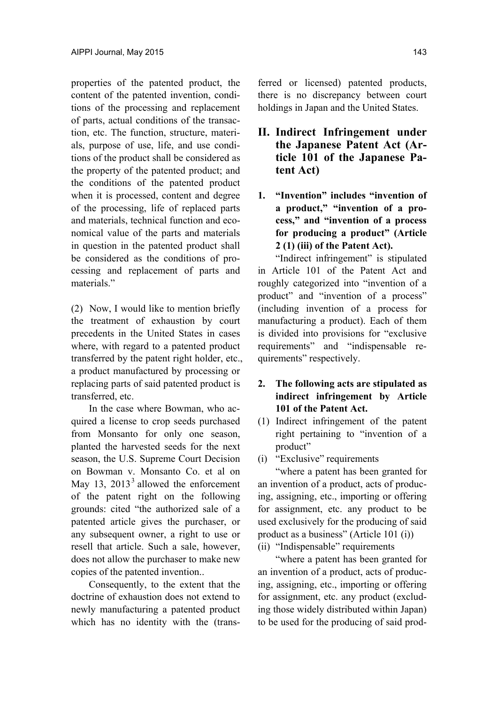properties of the patented product, the content of the patented invention, conditions of the processing and replacement of parts, actual conditions of the transaction, etc. The function, structure, materials, purpose of use, life, and use conditions of the product shall be considered as the property of the patented product; and the conditions of the patented product when it is processed, content and degree of the processing, life of replaced parts and materials, technical function and economical value of the parts and materials in question in the patented product shall be considered as the conditions of processing and replacement of parts and materials<sup>"</sup>

(2) Now, I would like to mention briefly the treatment of exhaustion by court precedents in the United States in cases where, with regard to a patented product transferred by the patent right holder, etc., a product manufactured by processing or replacing parts of said patented product is transferred, etc.

In the case where Bowman, who acquired a license to crop seeds purchased from Monsanto for only one season, planted the harvested seeds for the next season, the U.S. Supreme Court Decision on Bowman v. Monsanto Co. et al on May 13,  $2013<sup>3</sup>$  allowed the enforcement of the patent right on the following grounds: cited "the authorized sale of a patented article gives the purchaser, or any subsequent owner, a right to use or resell that article. Such a sale, however does not allow the purchaser to make new copies of the patented invention..

Consequently, to the extent that the doctrine of exhaustion does not extend to newly manufacturing a patented product which has no identity with the (transferred or licensed) patented products, there is no discrepancy between court holdings in Japan and the United States.

- **II. Indirect Infringement under the Japanese Patent Act (Article 101 of the Japanese Patent Act)**
- **1. "Invention" includes "invention of a product," "invention of a process," and "invention of a process for producing a product" (Article 2 (1) (iii) of the Patent Act).**

"Indirect infringement" is stipulated in Article 101 of the Patent Act and roughly categorized into "invention of a product" and "invention of a process" (including invention of a process for manufacturing a product). Each of them is divided into provisions for "exclusive requirements" and "indispensable requirements" respectively.

- **2. The following acts are stipulated as indirect infringement by Article 101 of the Patent Act.**
- (1) Indirect infringement of the patent right pertaining to "invention of a product"
- (i) "Exclusive" requirements

"where a patent has been granted for an invention of a product, acts of producing, assigning, etc., importing or offering for assignment, etc. any product to be used exclusively for the producing of said product as a business" (Article 101 (i))

(ii) "Indispensable" requirements

"where a patent has been granted for an invention of a product, acts of producing, assigning, etc., importing or offering for assignment, etc. any product (excluding those widely distributed within Japan) to be used for the producing of said prod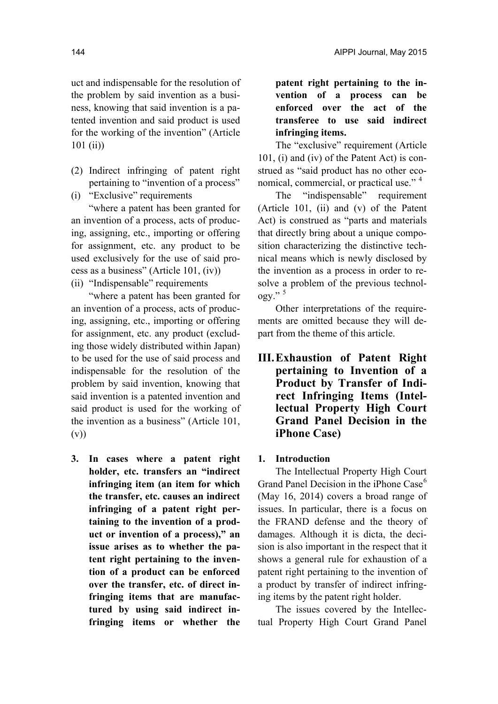uct and indispensable for the resolution of the problem by said invention as a business, knowing that said invention is a patented invention and said product is used for the working of the invention" (Article 101 (ii))

- (2) Indirect infringing of patent right pertaining to "invention of a process"
- (i) "Exclusive" requirements

"where a patent has been granted for an invention of a process, acts of producing, assigning, etc., importing or offering for assignment, etc. any product to be used exclusively for the use of said process as a business" (Article 101, (iv))

(ii) "Indispensable" requirements

"where a patent has been granted for an invention of a process, acts of producing, assigning, etc., importing or offering for assignment, etc. any product (excluding those widely distributed within Japan) to be used for the use of said process and indispensable for the resolution of the problem by said invention, knowing that said invention is a patented invention and said product is used for the working of the invention as a business" (Article 101, (v))

**3. In cases where a patent right holder, etc. transfers an "indirect infringing item (an item for which the transfer, etc. causes an indirect infringing of a patent right pertaining to the invention of a product or invention of a process)," an issue arises as to whether the patent right pertaining to the invention of a product can be enforced over the transfer, etc. of direct infringing items that are manufactured by using said indirect infringing items or whether the** 

**patent right pertaining to the invention of a process can be enforced over the act of the transferee to use said indirect infringing items.** 

The "exclusive" requirement (Article 101, (i) and (iv) of the Patent Act) is construed as "said product has no other economical, commercial, or practical use."<sup>4</sup>

The "indispensable" requirement (Article 101, (ii) and (v) of the Patent Act) is construed as "parts and materials that directly bring about a unique composition characterizing the distinctive technical means which is newly disclosed by the invention as a process in order to resolve a problem of the previous technology." <sup>5</sup>

Other interpretations of the requirements are omitted because they will depart from the theme of this article.

**III. Exhaustion of Patent Right pertaining to Invention of a Product by Transfer of Indirect Infringing Items (Intellectual Property High Court Grand Panel Decision in the iPhone Case)** 

#### **1. Introduction**

The Intellectual Property High Court Grand Panel Decision in the iPhone Case<sup>6</sup> (May 16, 2014) covers a broad range of issues. In particular, there is a focus on the FRAND defense and the theory of damages. Although it is dicta, the decision is also important in the respect that it shows a general rule for exhaustion of a patent right pertaining to the invention of a product by transfer of indirect infringing items by the patent right holder.

The issues covered by the Intellectual Property High Court Grand Panel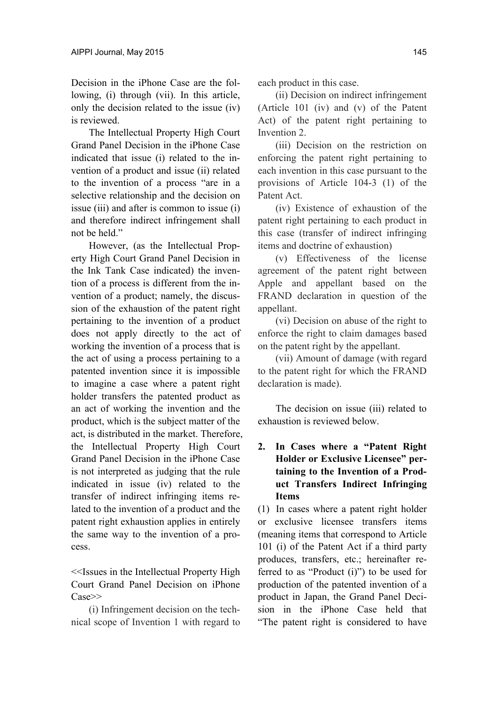Decision in the iPhone Case are the following, (i) through (vii). In this article, only the decision related to the issue (iv) is reviewed.

The Intellectual Property High Court Grand Panel Decision in the iPhone Case indicated that issue (i) related to the invention of a product and issue (ii) related to the invention of a process "are in a selective relationship and the decision on issue (iii) and after is common to issue (i) and therefore indirect infringement shall not be held."

However, (as the Intellectual Property High Court Grand Panel Decision in the Ink Tank Case indicated) the invention of a process is different from the invention of a product; namely, the discussion of the exhaustion of the patent right pertaining to the invention of a product does not apply directly to the act of working the invention of a process that is the act of using a process pertaining to a patented invention since it is impossible to imagine a case where a patent right holder transfers the patented product as an act of working the invention and the product, which is the subject matter of the act, is distributed in the market. Therefore, the Intellectual Property High Court Grand Panel Decision in the iPhone Case is not interpreted as judging that the rule indicated in issue (iv) related to the transfer of indirect infringing items related to the invention of a product and the patent right exhaustion applies in entirely the same way to the invention of a process.

<<Issues in the Intellectual Property High Court Grand Panel Decision on iPhone Case>>

(i) Infringement decision on the technical scope of Invention 1 with regard to each product in this case.

(ii) Decision on indirect infringement (Article 101 (iv) and (v) of the Patent Act) of the patent right pertaining to Invention 2.

(iii) Decision on the restriction on enforcing the patent right pertaining to each invention in this case pursuant to the provisions of Article 104-3 (1) of the Patent Act.

(iv) Existence of exhaustion of the patent right pertaining to each product in this case (transfer of indirect infringing items and doctrine of exhaustion)

(v) Effectiveness of the license agreement of the patent right between Apple and appellant based on the FRAND declaration in question of the appellant.

(vi) Decision on abuse of the right to enforce the right to claim damages based on the patent right by the appellant.

(vii) Amount of damage (with regard to the patent right for which the FRAND declaration is made).

The decision on issue (iii) related to exhaustion is reviewed below.

### **2. In Cases where a "Patent Right Holder or Exclusive Licensee" pertaining to the Invention of a Product Transfers Indirect Infringing Items**

(1) In cases where a patent right holder or exclusive licensee transfers items (meaning items that correspond to Article 101 (i) of the Patent Act if a third party produces, transfers, etc.; hereinafter referred to as "Product (i)") to be used for production of the patented invention of a product in Japan, the Grand Panel Decision in the iPhone Case held that "The patent right is considered to have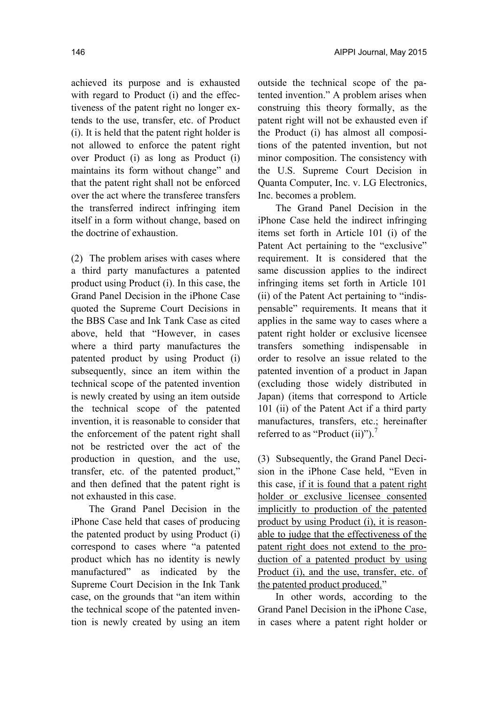achieved its purpose and is exhausted with regard to Product (i) and the effectiveness of the patent right no longer extends to the use, transfer, etc. of Product (i). It is held that the patent right holder is not allowed to enforce the patent right over Product (i) as long as Product (i) maintains its form without change" and that the patent right shall not be enforced over the act where the transferee transfers the transferred indirect infringing item itself in a form without change, based on the doctrine of exhaustion.

(2) The problem arises with cases where a third party manufactures a patented product using Product (i). In this case, the Grand Panel Decision in the iPhone Case quoted the Supreme Court Decisions in the BBS Case and Ink Tank Case as cited above, held that "However, in cases where a third party manufactures the patented product by using Product (i) subsequently, since an item within the technical scope of the patented invention is newly created by using an item outside the technical scope of the patented invention, it is reasonable to consider that the enforcement of the patent right shall not be restricted over the act of the production in question, and the use, transfer, etc. of the patented product," and then defined that the patent right is not exhausted in this case.

The Grand Panel Decision in the iPhone Case held that cases of producing the patented product by using Product (i) correspond to cases where "a patented product which has no identity is newly manufactured" as indicated by the Supreme Court Decision in the Ink Tank case, on the grounds that "an item within the technical scope of the patented invention is newly created by using an item

outside the technical scope of the patented invention." A problem arises when construing this theory formally, as the patent right will not be exhausted even if the Product (i) has almost all compositions of the patented invention, but not minor composition. The consistency with the U.S. Supreme Court Decision in Quanta Computer, Inc. v. LG Electronics, Inc. becomes a problem.

The Grand Panel Decision in the iPhone Case held the indirect infringing items set forth in Article 101 (i) of the Patent Act pertaining to the "exclusive" requirement. It is considered that the same discussion applies to the indirect infringing items set forth in Article 101 (ii) of the Patent Act pertaining to "indispensable" requirements. It means that it applies in the same way to cases where a patent right holder or exclusive licensee transfers something indispensable in order to resolve an issue related to the patented invention of a product in Japan (excluding those widely distributed in Japan) (items that correspond to Article 101 (ii) of the Patent Act if a third party manufactures, transfers, etc.; hereinafter referred to as "Product (ii)").<sup>7</sup>

(3) Subsequently, the Grand Panel Decision in the iPhone Case held, "Even in this case, if it is found that a patent right holder or exclusive licensee consented implicitly to production of the patented product by using Product (i), it is reasonable to judge that the effectiveness of the patent right does not extend to the production of a patented product by using Product (i), and the use, transfer, etc. of the patented product produced."

In other words, according to the Grand Panel Decision in the iPhone Case, in cases where a patent right holder or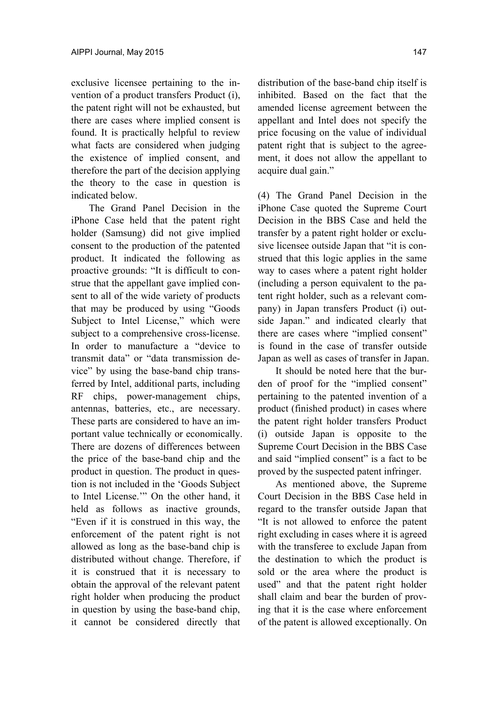exclusive licensee pertaining to the invention of a product transfers Product (i), the patent right will not be exhausted, but there are cases where implied consent is found. It is practically helpful to review what facts are considered when judging the existence of implied consent, and therefore the part of the decision applying the theory to the case in question is indicated below.

The Grand Panel Decision in the iPhone Case held that the patent right holder (Samsung) did not give implied consent to the production of the patented product. It indicated the following as proactive grounds: "It is difficult to construe that the appellant gave implied consent to all of the wide variety of products that may be produced by using "Goods Subject to Intel License," which were subject to a comprehensive cross-license. In order to manufacture a "device to transmit data" or "data transmission device" by using the base-band chip transferred by Intel, additional parts, including RF chips, power-management chips, antennas, batteries, etc., are necessary. These parts are considered to have an important value technically or economically. There are dozens of differences between the price of the base-band chip and the product in question. The product in question is not included in the 'Goods Subject to Intel License.'" On the other hand, it held as follows as inactive grounds, "Even if it is construed in this way, the enforcement of the patent right is not allowed as long as the base-band chip is distributed without change. Therefore, if it is construed that it is necessary to obtain the approval of the relevant patent right holder when producing the product in question by using the base-band chip, it cannot be considered directly that

distribution of the base-band chip itself is inhibited. Based on the fact that the amended license agreement between the appellant and Intel does not specify the price focusing on the value of individual patent right that is subject to the agreement, it does not allow the appellant to acquire dual gain."

(4) The Grand Panel Decision in the iPhone Case quoted the Supreme Court Decision in the BBS Case and held the transfer by a patent right holder or exclusive licensee outside Japan that "it is construed that this logic applies in the same way to cases where a patent right holder (including a person equivalent to the patent right holder, such as a relevant company) in Japan transfers Product (i) outside Japan." and indicated clearly that there are cases where "implied consent" is found in the case of transfer outside Japan as well as cases of transfer in Japan.

It should be noted here that the burden of proof for the "implied consent" pertaining to the patented invention of a product (finished product) in cases where the patent right holder transfers Product (i) outside Japan is opposite to the Supreme Court Decision in the BBS Case and said "implied consent" is a fact to be proved by the suspected patent infringer.

As mentioned above, the Supreme Court Decision in the BBS Case held in regard to the transfer outside Japan that "It is not allowed to enforce the patent right excluding in cases where it is agreed with the transferee to exclude Japan from the destination to which the product is sold or the area where the product is used" and that the patent right holder shall claim and bear the burden of proving that it is the case where enforcement of the patent is allowed exceptionally. On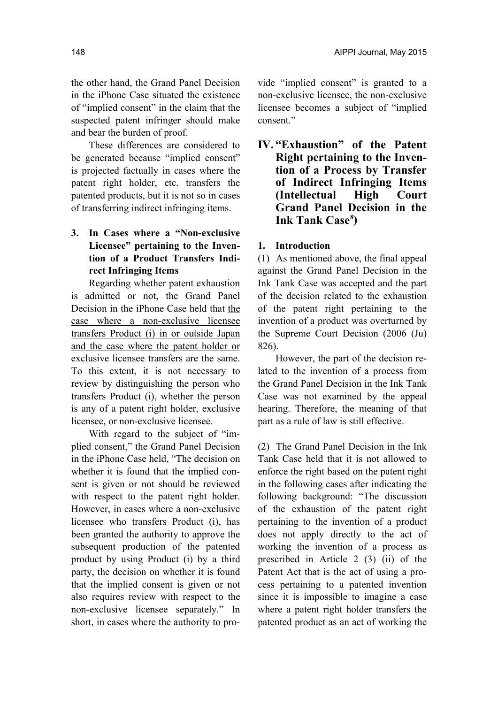the other hand, the Grand Panel Decision in the iPhone Case situated the existence of "implied consent" in the claim that the suspected patent infringer should make and bear the burden of proof.

These differences are considered to be generated because "implied consent" is projected factually in cases where the patent right holder, etc. transfers the patented products, but it is not so in cases of transferring indirect infringing items.

## **3. In Cases where a "Non-exclusive Licensee" pertaining to the Invention of a Product Transfers Indirect Infringing Items**

Regarding whether patent exhaustion is admitted or not, the Grand Panel Decision in the iPhone Case held that the case where a non-exclusive licensee transfers Product (i) in or outside Japan and the case where the patent holder or exclusive licensee transfers are the same. To this extent, it is not necessary to review by distinguishing the person who transfers Product (i), whether the person is any of a patent right holder, exclusive licensee, or non-exclusive licensee.

With regard to the subject of "implied consent," the Grand Panel Decision in the iPhone Case held, "The decision on whether it is found that the implied consent is given or not should be reviewed with respect to the patent right holder. However, in cases where a non-exclusive licensee who transfers Product (i), has been granted the authority to approve the subsequent production of the patented product by using Product (i) by a third party, the decision on whether it is found that the implied consent is given or not also requires review with respect to the non-exclusive licensee separately." In short, in cases where the authority to provide "implied consent" is granted to a non-exclusive licensee, the non-exclusive licensee becomes a subject of "implied consent."

**IV. "Exhaustion" of the Patent Right pertaining to the Invention of a Process by Transfer of Indirect Infringing Items (Intellectual High Court Grand Panel Decision in the**  Ink Tank Case<sup>8</sup>)

#### **1. Introduction**

(1) As mentioned above, the final appeal against the Grand Panel Decision in the Ink Tank Case was accepted and the part of the decision related to the exhaustion of the patent right pertaining to the invention of a product was overturned by the Supreme Court Decision (2006 (Ju) 826).

However, the part of the decision related to the invention of a process from the Grand Panel Decision in the Ink Tank Case was not examined by the appeal hearing. Therefore, the meaning of that part as a rule of law is still effective.

(2) The Grand Panel Decision in the Ink Tank Case held that it is not allowed to enforce the right based on the patent right in the following cases after indicating the following background: "The discussion of the exhaustion of the patent right pertaining to the invention of a product does not apply directly to the act of working the invention of a process as prescribed in Article 2 (3) (ii) of the Patent Act that is the act of using a process pertaining to a patented invention since it is impossible to imagine a case where a patent right holder transfers the patented product as an act of working the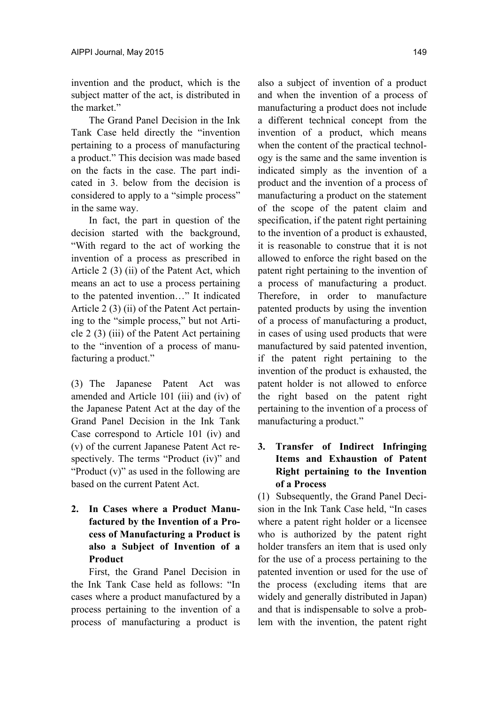invention and the product, which is the subject matter of the act, is distributed in the market"

The Grand Panel Decision in the Ink Tank Case held directly the "invention pertaining to a process of manufacturing a product." This decision was made based on the facts in the case. The part indicated in 3. below from the decision is considered to apply to a "simple process" in the same way.

In fact, the part in question of the decision started with the background, "With regard to the act of working the invention of a process as prescribed in Article 2 (3) (ii) of the Patent Act, which means an act to use a process pertaining to the patented invention…" It indicated Article 2 (3) (ii) of the Patent Act pertaining to the "simple process," but not Article 2 (3) (iii) of the Patent Act pertaining to the "invention of a process of manufacturing a product."

(3) The Japanese Patent Act was amended and Article 101 (iii) and (iv) of the Japanese Patent Act at the day of the Grand Panel Decision in the Ink Tank Case correspond to Article 101 (iv) and (v) of the current Japanese Patent Act respectively. The terms "Product (iv)" and "Product (v)" as used in the following are based on the current Patent Act.

**2. In Cases where a Product Manufactured by the Invention of a Process of Manufacturing a Product is also a Subject of Invention of a Product** 

First, the Grand Panel Decision in the Ink Tank Case held as follows: "In cases where a product manufactured by a process pertaining to the invention of a process of manufacturing a product is also a subject of invention of a product and when the invention of a process of manufacturing a product does not include a different technical concept from the invention of a product, which means when the content of the practical technology is the same and the same invention is indicated simply as the invention of a product and the invention of a process of manufacturing a product on the statement of the scope of the patent claim and specification, if the patent right pertaining to the invention of a product is exhausted, it is reasonable to construe that it is not allowed to enforce the right based on the patent right pertaining to the invention of a process of manufacturing a product. Therefore, in order to manufacture patented products by using the invention of a process of manufacturing a product, in cases of using used products that were manufactured by said patented invention, if the patent right pertaining to the invention of the product is exhausted, the patent holder is not allowed to enforce the right based on the patent right pertaining to the invention of a process of manufacturing a product."

### **3. Transfer of Indirect Infringing Items and Exhaustion of Patent Right pertaining to the Invention of a Process**

(1) Subsequently, the Grand Panel Decision in the Ink Tank Case held, "In cases" where a patent right holder or a licensee who is authorized by the patent right holder transfers an item that is used only for the use of a process pertaining to the patented invention or used for the use of the process (excluding items that are widely and generally distributed in Japan) and that is indispensable to solve a problem with the invention, the patent right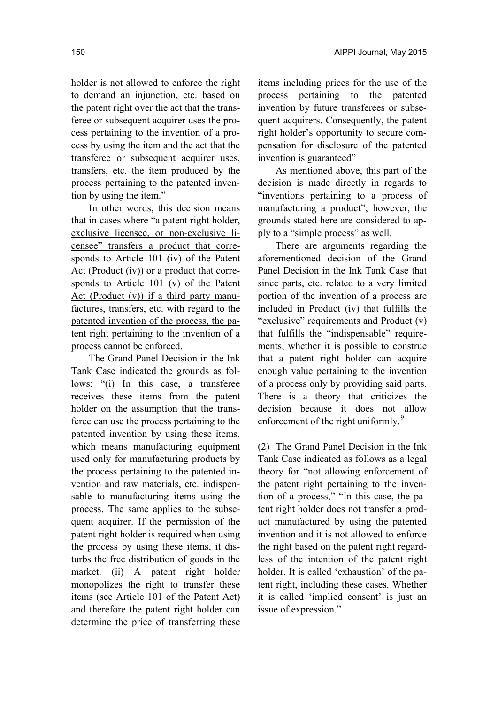holder is not allowed to enforce the right to demand an injunction, etc. based on the patent right over the act that the transferee or subsequent acquirer uses the process pertaining to the invention of a process by using the item and the act that the transferee or subsequent acquirer uses, transfers, etc. the item produced by the process pertaining to the patented invention by using the item."

In other words, this decision means that in cases where "a patent right holder, exclusive licensee, or non-exclusive licensee" transfers a product that corresponds to Article 101 (iv) of the Patent Act (Product (iv)) or a product that corresponds to Article 101 (v) of the Patent Act (Product  $(v)$ ) if a third party manufactures, transfers, etc. with regard to the patented invention of the process, the patent right pertaining to the invention of a process cannot be enforced.

The Grand Panel Decision in the Ink Tank Case indicated the grounds as follows: "(i) In this case, a transferee receives these items from the patent holder on the assumption that the transferee can use the process pertaining to the patented invention by using these items, which means manufacturing equipment used only for manufacturing products by the process pertaining to the patented invention and raw materials, etc. indispensable to manufacturing items using the process. The same applies to the subsequent acquirer. If the permission of the patent right holder is required when using the process by using these items, it disturbs the free distribution of goods in the market. (ii) A patent right holder monopolizes the right to transfer these items (see Article 101 of the Patent Act) and therefore the patent right holder can determine the price of transferring these

items including prices for the use of the process pertaining to the patented invention by future transferees or subsequent acquirers. Consequently, the patent right holder's opportunity to secure compensation for disclosure of the patented invention is guaranteed"

As mentioned above, this part of the decision is made directly in regards to "inventions pertaining to a process of manufacturing a product"; however, the grounds stated here are considered to apply to a "simple process" as well.

There are arguments regarding the aforementioned decision of the Grand Panel Decision in the Ink Tank Case that since parts, etc. related to a very limited portion of the invention of a process are included in Product (iv) that fulfills the "exclusive" requirements and Product (v) that fulfills the "indispensable" requirements, whether it is possible to construe that a patent right holder can acquire enough value pertaining to the invention of a process only by providing said parts. There is a theory that criticizes the decision because it does not allow enforcement of the right uniformly.<sup>9</sup>

(2) The Grand Panel Decision in the Ink Tank Case indicated as follows as a legal theory for "not allowing enforcement of the patent right pertaining to the invention of a process," "In this case, the patent right holder does not transfer a product manufactured by using the patented invention and it is not allowed to enforce the right based on the patent right regardless of the intention of the patent right holder. It is called 'exhaustion' of the patent right, including these cases. Whether it is called 'implied consent' is just an issue of expression."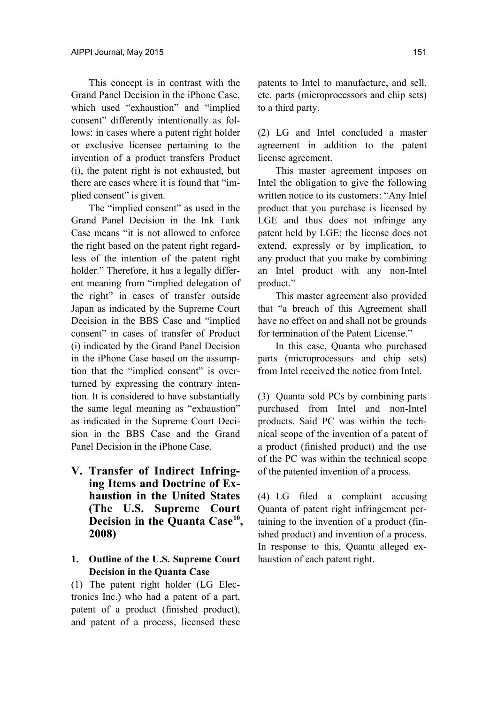This concept is in contrast with the Grand Panel Decision in the iPhone Case, which used "exhaustion" and "implied consent" differently intentionally as follows: in cases where a patent right holder or exclusive licensee pertaining to the invention of a product transfers Product (i), the patent right is not exhausted, but there are cases where it is found that "implied consent" is given.

The "implied consent" as used in the Grand Panel Decision in the Ink Tank Case means "it is not allowed to enforce the right based on the patent right regardless of the intention of the patent right holder." Therefore, it has a legally different meaning from "implied delegation of the right" in cases of transfer outside Japan as indicated by the Supreme Court Decision in the BBS Case and "implied consent" in cases of transfer of Product (i) indicated by the Grand Panel Decision in the iPhone Case based on the assumption that the "implied consent" is overturned by expressing the contrary intention. It is considered to have substantially the same legal meaning as "exhaustion" as indicated in the Supreme Court Decision in the BBS Case and the Grand Panel Decision in the iPhone Case.

**V. Transfer of Indirect Infringing Items and Doctrine of Exhaustion in the United States (The U.S. Supreme Court**  Decision in the Quanta Case<sup>10</sup>, **2008)** 

#### **1. Outline of the U.S. Supreme Court Decision in the Quanta Case**

(1) The patent right holder (LG Electronics Inc.) who had a patent of a part, patent of a product (finished product), and patent of a process, licensed these patents to Intel to manufacture, and sell, etc. parts (microprocessors and chip sets) to a third party.

(2) LG and Intel concluded a master agreement in addition to the patent license agreement.

This master agreement imposes on Intel the obligation to give the following written notice to its customers: "Any Intel product that you purchase is licensed by LGE and thus does not infringe any patent held by LGE; the license does not extend, expressly or by implication, to any product that you make by combining an Intel product with any non-Intel product."

This master agreement also provided that "a breach of this Agreement shall have no effect on and shall not be grounds for termination of the Patent License."

In this case, Quanta who purchased parts (microprocessors and chip sets) from Intel received the notice from Intel.

(3) Quanta sold PCs by combining parts purchased from Intel and non-Intel products. Said PC was within the technical scope of the invention of a patent of a product (finished product) and the use of the PC was within the technical scope of the patented invention of a process.

(4) LG filed a complaint accusing Quanta of patent right infringement pertaining to the invention of a product (finished product) and invention of a process. In response to this, Quanta alleged exhaustion of each patent right.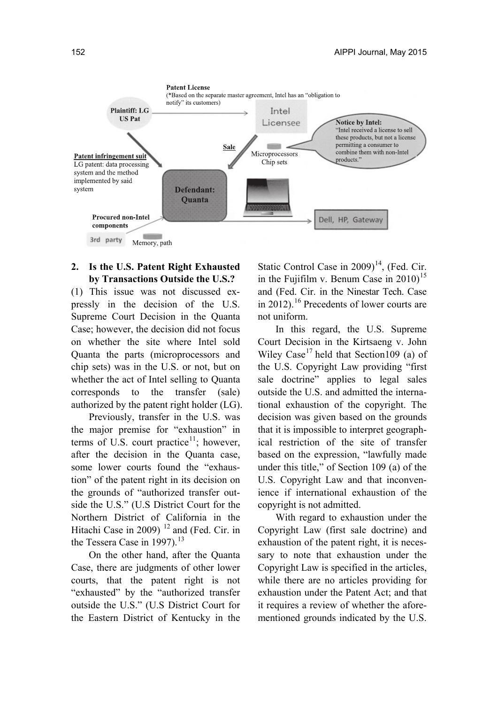

### **2. Is the U.S. Patent Right Exhausted by Transactions Outside the U.S.?**

(1) This issue was not discussed expressly in the decision of the U.S. Supreme Court Decision in the Quanta Case; however, the decision did not focus on whether the site where Intel sold Quanta the parts (microprocessors and chip sets) was in the U.S. or not, but on whether the act of Intel selling to Quanta corresponds to the transfer (sale) authorized by the patent right holder (LG).

Previously, transfer in the U.S. was the major premise for "exhaustion" in terms of U.S. court practice<sup>11</sup>; however, after the decision in the Quanta case, some lower courts found the "exhaustion" of the patent right in its decision on the grounds of "authorized transfer outside the U.S." (U.S District Court for the Northern District of California in the Hitachi Case in 2009)  $12$  and (Fed. Cir. in the Tessera Case in 1997).<sup>13</sup>

On the other hand, after the Quanta Case, there are judgments of other lower courts, that the patent right is not "exhausted" by the "authorized transfer outside the U.S." (U.S District Court for the Eastern District of Kentucky in the Static Control Case in  $2009$ <sup>14</sup>, (Fed. Cir. in the Fujifilm v. Benum Case in  $2010$ <sup>15</sup> and (Fed. Cir. in the Ninestar Tech. Case in 2012).<sup>16</sup> Precedents of lower courts are not uniform.

In this regard, the U.S. Supreme Court Decision in the Kirtsaeng v. John Wiley Case<sup>17</sup> held that Section109 (a) of the U.S. Copyright Law providing "first sale doctrine" applies to legal sales outside the U.S. and admitted the international exhaustion of the copyright. The decision was given based on the grounds that it is impossible to interpret geographical restriction of the site of transfer based on the expression, "lawfully made under this title," of Section 109 (a) of the U.S. Copyright Law and that inconvenience if international exhaustion of the copyright is not admitted.

With regard to exhaustion under the Copyright Law (first sale doctrine) and exhaustion of the patent right, it is necessary to note that exhaustion under the Copyright Law is specified in the articles, while there are no articles providing for exhaustion under the Patent Act; and that it requires a review of whether the aforementioned grounds indicated by the U.S.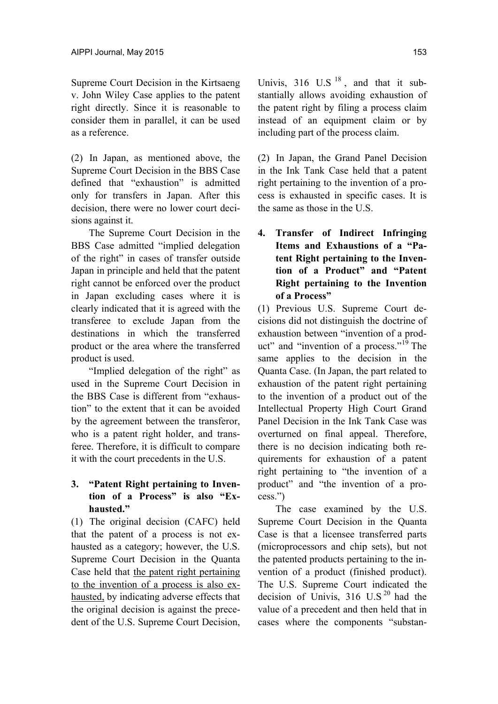Supreme Court Decision in the Kirtsaeng v. John Wiley Case applies to the patent right directly. Since it is reasonable to consider them in parallel, it can be used as a reference.

(2) In Japan, as mentioned above, the Supreme Court Decision in the BBS Case defined that "exhaustion" is admitted only for transfers in Japan. After this decision, there were no lower court decisions against it.

The Supreme Court Decision in the BBS Case admitted "implied delegation of the right" in cases of transfer outside Japan in principle and held that the patent right cannot be enforced over the product in Japan excluding cases where it is clearly indicated that it is agreed with the transferee to exclude Japan from the destinations in which the transferred product or the area where the transferred product is used.

"Implied delegation of the right" as used in the Supreme Court Decision in the BBS Case is different from "exhaustion" to the extent that it can be avoided by the agreement between the transferor, who is a patent right holder, and transferee. Therefore, it is difficult to compare it with the court precedents in the U.S.

### **3. "Patent Right pertaining to Invention of a Process" is also "Exhausted."**

(1) The original decision (CAFC) held that the patent of a process is not exhausted as a category; however, the U.S. Supreme Court Decision in the Quanta Case held that the patent right pertaining to the invention of a process is also exhausted, by indicating adverse effects that the original decision is against the precedent of the U.S. Supreme Court Decision,

Univis,  $316$  U.S  $^{18}$ , and that it substantially allows avoiding exhaustion of the patent right by filing a process claim instead of an equipment claim or by including part of the process claim.

(2) In Japan, the Grand Panel Decision in the Ink Tank Case held that a patent right pertaining to the invention of a process is exhausted in specific cases. It is the same as those in the U.S.

**4. Transfer of Indirect Infringing Items and Exhaustions of a "Patent Right pertaining to the Invention of a Product" and "Patent Right pertaining to the Invention of a Process"** 

(1) Previous U.S. Supreme Court decisions did not distinguish the doctrine of exhaustion between "invention of a product" and "invention of a process."19 The same applies to the decision in the Quanta Case. (In Japan, the part related to exhaustion of the patent right pertaining to the invention of a product out of the Intellectual Property High Court Grand Panel Decision in the Ink Tank Case was overturned on final appeal. Therefore, there is no decision indicating both requirements for exhaustion of a patent right pertaining to "the invention of a product" and "the invention of a process.")

The case examined by the U.S. Supreme Court Decision in the Quanta Case is that a licensee transferred parts (microprocessors and chip sets), but not the patented products pertaining to the invention of a product (finished product). The U.S. Supreme Court indicated the decision of Univis,  $316$  U.S<sup>20</sup> had the value of a precedent and then held that in cases where the components "substan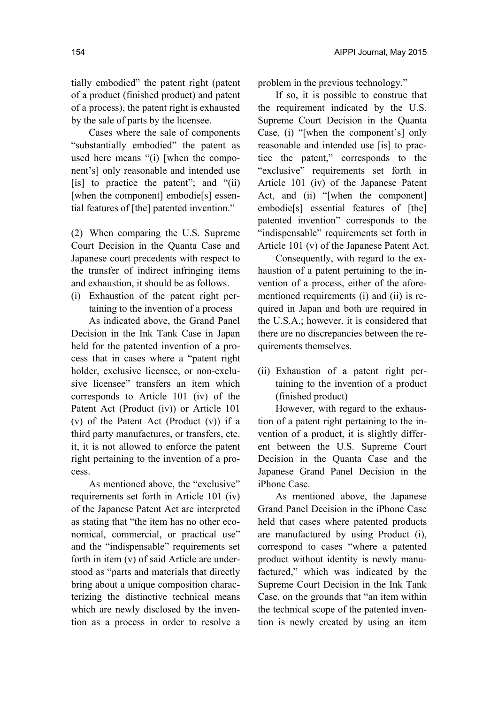tially embodied" the patent right (patent of a product (finished product) and patent of a process), the patent right is exhausted by the sale of parts by the licensee.

Cases where the sale of components "substantially embodied" the patent as used here means "(i) [when the component's] only reasonable and intended use [is] to practice the patent"; and "(ii) [when the component] embodie[s] essential features of [the] patented invention."

(2) When comparing the U.S. Supreme Court Decision in the Quanta Case and Japanese court precedents with respect to the transfer of indirect infringing items and exhaustion, it should be as follows.

(i) Exhaustion of the patent right pertaining to the invention of a process

As indicated above, the Grand Panel Decision in the Ink Tank Case in Japan held for the patented invention of a process that in cases where a "patent right holder, exclusive licensee, or non-exclusive licensee" transfers an item which corresponds to Article 101 (iv) of the Patent Act (Product (iv)) or Article 101 (v) of the Patent Act (Product (v)) if a third party manufactures, or transfers, etc. it, it is not allowed to enforce the patent right pertaining to the invention of a process.

As mentioned above, the "exclusive" requirements set forth in Article 101 (iv) of the Japanese Patent Act are interpreted as stating that "the item has no other economical, commercial, or practical use" and the "indispensable" requirements set forth in item (v) of said Article are understood as "parts and materials that directly bring about a unique composition characterizing the distinctive technical means which are newly disclosed by the invention as a process in order to resolve a problem in the previous technology."

If so, it is possible to construe that the requirement indicated by the U.S. Supreme Court Decision in the Quanta Case, (i) "[when the component's] only reasonable and intended use [is] to practice the patent," corresponds to the "exclusive" requirements set forth in Article 101 (iv) of the Japanese Patent Act, and (ii) "[when the component] embodie[s] essential features of [the] patented invention" corresponds to the "indispensable" requirements set forth in Article 101 (v) of the Japanese Patent Act.

Consequently, with regard to the exhaustion of a patent pertaining to the invention of a process, either of the aforementioned requirements (i) and (ii) is required in Japan and both are required in the U.S.A.; however, it is considered that there are no discrepancies between the requirements themselves.

(ii) Exhaustion of a patent right pertaining to the invention of a product (finished product)

However, with regard to the exhaustion of a patent right pertaining to the invention of a product, it is slightly different between the U.S. Supreme Court Decision in the Quanta Case and the Japanese Grand Panel Decision in the iPhone Case.

As mentioned above, the Japanese Grand Panel Decision in the iPhone Case held that cases where patented products are manufactured by using Product (i), correspond to cases "where a patented product without identity is newly manufactured," which was indicated by the Supreme Court Decision in the Ink Tank Case, on the grounds that "an item within the technical scope of the patented invention is newly created by using an item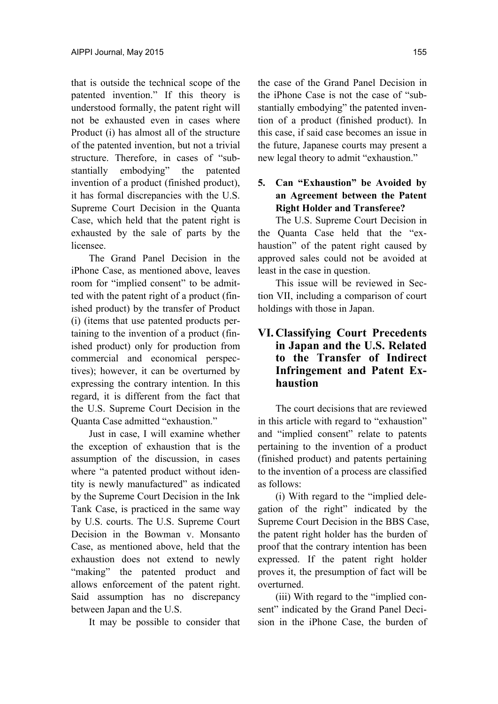that is outside the technical scope of the patented invention." If this theory is understood formally, the patent right will not be exhausted even in cases where Product (i) has almost all of the structure of the patented invention, but not a trivial structure. Therefore, in cases of "substantially embodying" the patented invention of a product (finished product), it has formal discrepancies with the U.S. Supreme Court Decision in the Quanta Case, which held that the patent right is exhausted by the sale of parts by the licensee.

The Grand Panel Decision in the iPhone Case, as mentioned above, leaves room for "implied consent" to be admitted with the patent right of a product (finished product) by the transfer of Product (i) (items that use patented products pertaining to the invention of a product (finished product) only for production from commercial and economical perspectives); however, it can be overturned by expressing the contrary intention. In this regard, it is different from the fact that the U.S. Supreme Court Decision in the Quanta Case admitted "exhaustion."

Just in case, I will examine whether the exception of exhaustion that is the assumption of the discussion, in cases where "a patented product without identity is newly manufactured" as indicated by the Supreme Court Decision in the Ink Tank Case, is practiced in the same way by U.S. courts. The U.S. Supreme Court Decision in the Bowman v. Monsanto Case, as mentioned above, held that the exhaustion does not extend to newly "making" the patented product and allows enforcement of the patent right. Said assumption has no discrepancy between Japan and the U.S.

It may be possible to consider that

the case of the Grand Panel Decision in the iPhone Case is not the case of "substantially embodying" the patented invention of a product (finished product). In this case, if said case becomes an issue in the future, Japanese courts may present a new legal theory to admit "exhaustion."

## **5. Can "Exhaustion" be Avoided by an Agreement between the Patent Right Holder and Transferee?**

The U.S. Supreme Court Decision in the Quanta Case held that the "exhaustion" of the patent right caused by approved sales could not be avoided at least in the case in question.

This issue will be reviewed in Section VII, including a comparison of court holdings with those in Japan.

## **VI. Classifying Court Precedents in Japan and the U.S. Related to the Transfer of Indirect Infringement and Patent Exhaustion**

The court decisions that are reviewed in this article with regard to "exhaustion" and "implied consent" relate to patents pertaining to the invention of a product (finished product) and patents pertaining to the invention of a process are classified as follows:

(i) With regard to the "implied delegation of the right" indicated by the Supreme Court Decision in the BBS Case, the patent right holder has the burden of proof that the contrary intention has been expressed. If the patent right holder proves it, the presumption of fact will be overturned.

(iii) With regard to the "implied consent" indicated by the Grand Panel Decision in the iPhone Case, the burden of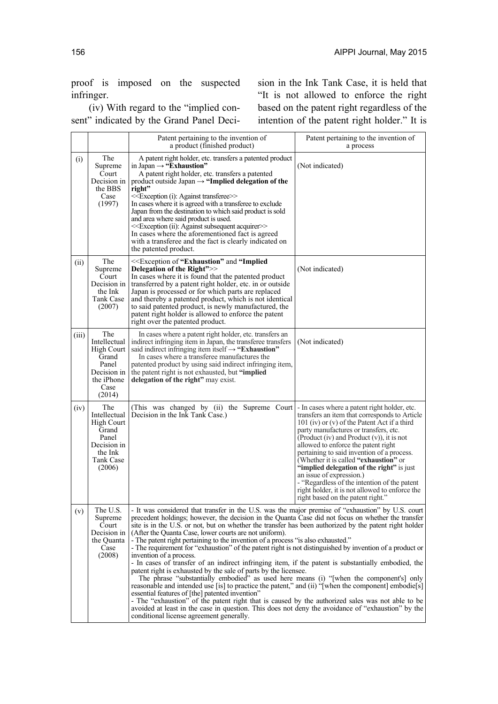proof is imposed on the suspected infringer.

(iv) With regard to the "implied consent" indicated by the Grand Panel Decision in the Ink Tank Case, it is held that "It is not allowed to enforce the right based on the patent right regardless of the intention of the patent right holder." It is

|       |                                                                                                             | Patent pertaining to the invention of<br>a product (finished product)                                                                                                                                                                                                                                                                                                                                                                                                                                                                                                                                                                                                                                                                                                                                                                                                                                                                                                                                                                                                                                                                                                                                                                                                                      | Patent pertaining to the invention of<br>a process                                                                                                                                                                                                                                                                                                                                                                                                                                                                                                                                    |
|-------|-------------------------------------------------------------------------------------------------------------|--------------------------------------------------------------------------------------------------------------------------------------------------------------------------------------------------------------------------------------------------------------------------------------------------------------------------------------------------------------------------------------------------------------------------------------------------------------------------------------------------------------------------------------------------------------------------------------------------------------------------------------------------------------------------------------------------------------------------------------------------------------------------------------------------------------------------------------------------------------------------------------------------------------------------------------------------------------------------------------------------------------------------------------------------------------------------------------------------------------------------------------------------------------------------------------------------------------------------------------------------------------------------------------------|---------------------------------------------------------------------------------------------------------------------------------------------------------------------------------------------------------------------------------------------------------------------------------------------------------------------------------------------------------------------------------------------------------------------------------------------------------------------------------------------------------------------------------------------------------------------------------------|
| (i)   | The<br>Supreme<br>Court<br>Decision in<br>the BBS<br>Case<br>(1997)                                         | A patent right holder, etc. transfers a patented product<br>in Japan $\rightarrow$ "Exhaustion"<br>A patent right holder, etc. transfers a patented<br>product outside Japan $\rightarrow$ "Implied delegation of the<br>right"<br>< <exception (i):="" against="" transferee="">&gt;<br/>In cases where it is agreed with a transferee to exclude<br/>Japan from the destination to which said product is sold<br/>and area where said product is used.<br/>&lt;<exception (ii):="" acquirer="" against="" subsequent="">&gt;<br/>In cases where the aforementioned fact is agreed<br/>with a transferee and the fact is clearly indicated on<br/>the patented product.</exception></exception>                                                                                                                                                                                                                                                                                                                                                                                                                                                                                                                                                                                           | (Not indicated)                                                                                                                                                                                                                                                                                                                                                                                                                                                                                                                                                                       |
| (ii)  | The<br>Supreme<br>Court<br>Decision in<br>the Ink<br>Tank Case<br>(2007)                                    | < <exception "exhaustion"="" "implied<br="" and="" of="">Delegation of the Right"&gt;&gt;<br/>In cases where it is found that the patented product<br/>transferred by a patent right holder, etc. in or outside<br/>Japan is processed or for which parts are replaced<br/>and thereby a patented product, which is not identical<br/>to said patented product, is newly manufactured, the<br/>patent right holder is allowed to enforce the patent<br/>right over the patented product.</exception>                                                                                                                                                                                                                                                                                                                                                                                                                                                                                                                                                                                                                                                                                                                                                                                       | (Not indicated)                                                                                                                                                                                                                                                                                                                                                                                                                                                                                                                                                                       |
| (iii) | The<br>Intellectual<br><b>High Court</b><br>Grand<br>Panel<br>Decision in<br>the iPhone<br>Case<br>(2014)   | In cases where a patent right holder, etc. transfers an<br>indirect infringing item in Japan, the transferee transfers<br>said indirect infringing item itself $\rightarrow$ "Exhaustion"<br>In cases where a transferee manufactures the<br>patented product by using said indirect infringing item,<br>the patent right is not exhausted, but "implied<br>delegation of the right" may exist.                                                                                                                                                                                                                                                                                                                                                                                                                                                                                                                                                                                                                                                                                                                                                                                                                                                                                            | (Not indicated)                                                                                                                                                                                                                                                                                                                                                                                                                                                                                                                                                                       |
| (iv)  | The<br>Intellectual<br><b>High Court</b><br>Grand<br>Panel<br>Decision in<br>the Ink<br>Tank Case<br>(2006) | (This was changed by (ii) the Supreme Court<br>Decision in the Ink Tank Case.)                                                                                                                                                                                                                                                                                                                                                                                                                                                                                                                                                                                                                                                                                                                                                                                                                                                                                                                                                                                                                                                                                                                                                                                                             | - In cases where a patent right holder, etc.<br>transfers an item that corresponds to Article<br>101 (iv) or (v) of the Patent Act if a third<br>party manufactures or transfers, etc.<br>(Product (iv) and Product $(v)$ ), it is not<br>allowed to enforce the patent right<br>pertaining to said invention of a process.<br>(Whether it is called "exhaustion" or<br>"implied delegation of the right" is just<br>an issue of expression.)<br>- "Regardless of the intention of the patent"<br>right holder, it is not allowed to enforce the<br>right based on the patent right." |
| (v)   | The U.S.<br>Supreme<br>Court<br>Decision in<br>the Quanta<br>Case<br>(2008)                                 | - It was considered that transfer in the U.S. was the major premise of "exhaustion" by U.S. court<br>precedent holdings; however, the decision in the Quanta Case did not focus on whether the transfer<br>site is in the U.S. or not, but on whether the transfer has been authorized by the patent right holder<br>(After the Quanta Case, lower courts are not uniform).<br>- The patent right pertaining to the invention of a process "is also exhausted."<br>- The requirement for "exhaustion" of the patent right is not distinguished by invention of a product or<br>invention of a process.<br>- In cases of transfer of an indirect infringing item, if the patent is substantially embodied, the<br>patent right is exhausted by the sale of parts by the licensee.<br>The phrase "substantially embodied" as used here means (i) "[when the component's] only<br>reasonable and intended use [is] to practice the patent," and (ii) "[when the component] embodie[s]<br>essential features of [the] patented invention"<br>- The "exhaustion" of the patent right that is caused by the authorized sales was not able to be<br>avoided at least in the case in question. This does not deny the avoidance of "exhaustion" by the<br>conditional license agreement generally. |                                                                                                                                                                                                                                                                                                                                                                                                                                                                                                                                                                                       |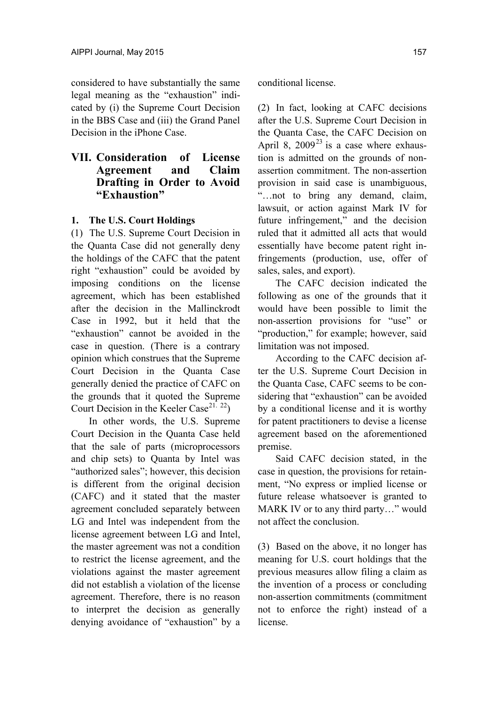considered to have substantially the same legal meaning as the "exhaustion" indicated by (i) the Supreme Court Decision in the BBS Case and (iii) the Grand Panel Decision in the iPhone Case.

## **VII. Consideration of License Agreement and Claim Drafting in Order to Avoid "Exhaustion"**

#### **1. The U.S. Court Holdings**

(1) The U.S. Supreme Court Decision in the Quanta Case did not generally deny the holdings of the CAFC that the patent right "exhaustion" could be avoided by imposing conditions on the license agreement, which has been established after the decision in the Mallinckrodt Case in 1992, but it held that the "exhaustion" cannot be avoided in the case in question. (There is a contrary opinion which construes that the Supreme Court Decision in the Quanta Case generally denied the practice of CAFC on the grounds that it quoted the Supreme Court Decision in the Keeler Case<sup>21. 22</sup>)

In other words, the U.S. Supreme Court Decision in the Quanta Case held that the sale of parts (microprocessors and chip sets) to Quanta by Intel was "authorized sales"; however, this decision is different from the original decision (CAFC) and it stated that the master agreement concluded separately between LG and Intel was independent from the license agreement between LG and Intel, the master agreement was not a condition to restrict the license agreement, and the violations against the master agreement did not establish a violation of the license agreement. Therefore, there is no reason to interpret the decision as generally denying avoidance of "exhaustion" by a conditional license.

(2) In fact, looking at CAFC decisions after the U.S. Supreme Court Decision in the Quanta Case, the CAFC Decision on April 8, 2009 $^{23}$  is a case where exhaustion is admitted on the grounds of nonassertion commitment. The non-assertion provision in said case is unambiguous, "…not to bring any demand, claim, lawsuit, or action against Mark IV for future infringement," and the decision ruled that it admitted all acts that would essentially have become patent right infringements (production, use, offer of sales, sales, and export).

The CAFC decision indicated the following as one of the grounds that it would have been possible to limit the non-assertion provisions for "use" or "production," for example; however, said limitation was not imposed.

According to the CAFC decision after the U.S. Supreme Court Decision in the Quanta Case, CAFC seems to be considering that "exhaustion" can be avoided by a conditional license and it is worthy for patent practitioners to devise a license agreement based on the aforementioned premise.

Said CAFC decision stated, in the case in question, the provisions for retainment, "No express or implied license or future release whatsoever is granted to MARK IV or to any third party..." would not affect the conclusion.

(3) Based on the above, it no longer has meaning for U.S. court holdings that the previous measures allow filing a claim as the invention of a process or concluding non-assertion commitments (commitment not to enforce the right) instead of a license.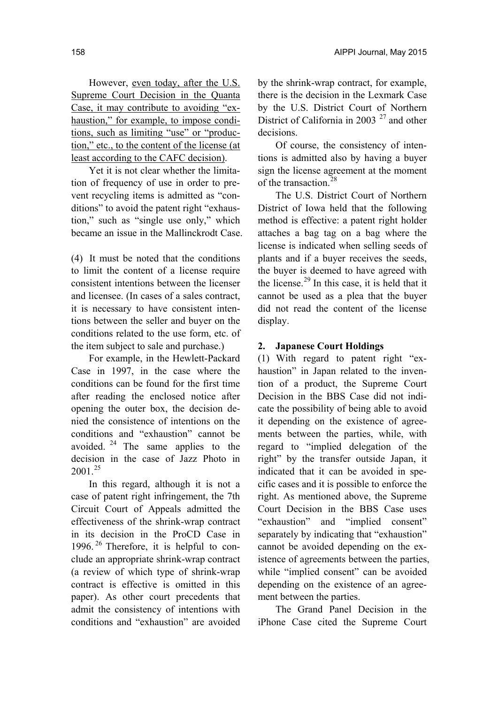However, even today, after the U.S. Supreme Court Decision in the Quanta Case, it may contribute to avoiding "exhaustion," for example, to impose conditions, such as limiting "use" or "production," etc., to the content of the license (at least according to the CAFC decision).

Yet it is not clear whether the limitation of frequency of use in order to prevent recycling items is admitted as "conditions" to avoid the patent right "exhaustion," such as "single use only," which became an issue in the Mallinckrodt Case.

(4) It must be noted that the conditions to limit the content of a license require consistent intentions between the licenser and licensee. (In cases of a sales contract, it is necessary to have consistent intentions between the seller and buyer on the conditions related to the use form, etc. of the item subject to sale and purchase.)

For example, in the Hewlett-Packard Case in 1997, in the case where the conditions can be found for the first time after reading the enclosed notice after opening the outer box, the decision denied the consistence of intentions on the conditions and "exhaustion" cannot be avoided.  $24$  The same applies to the decision in the case of Jazz Photo in  $2001.<sup>25</sup>$ 

In this regard, although it is not a case of patent right infringement, the 7th Circuit Court of Appeals admitted the effectiveness of the shrink-wrap contract in its decision in the ProCD Case in 1996.<sup>26</sup> Therefore, it is helpful to conclude an appropriate shrink-wrap contract (a review of which type of shrink-wrap contract is effective is omitted in this paper). As other court precedents that admit the consistency of intentions with conditions and "exhaustion" are avoided

by the shrink-wrap contract, for example, there is the decision in the Lexmark Case by the U.S. District Court of Northern District of California in 2003  $27$  and other decisions.

Of course, the consistency of intentions is admitted also by having a buyer sign the license agreement at the moment of the transaction.<sup>28</sup>

The U.S. District Court of Northern District of Iowa held that the following method is effective: a patent right holder attaches a bag tag on a bag where the license is indicated when selling seeds of plants and if a buyer receives the seeds, the buyer is deemed to have agreed with the license.<sup>29</sup> In this case, it is held that it cannot be used as a plea that the buyer did not read the content of the license display.

### **2. Japanese Court Holdings**

(1) With regard to patent right "exhaustion" in Japan related to the invention of a product, the Supreme Court Decision in the BBS Case did not indicate the possibility of being able to avoid it depending on the existence of agreements between the parties, while, with regard to "implied delegation of the right" by the transfer outside Japan, it indicated that it can be avoided in specific cases and it is possible to enforce the right. As mentioned above, the Supreme Court Decision in the BBS Case uses "exhaustion" and "implied consent" separately by indicating that "exhaustion" cannot be avoided depending on the existence of agreements between the parties, while "implied consent" can be avoided depending on the existence of an agreement between the parties.

The Grand Panel Decision in the iPhone Case cited the Supreme Court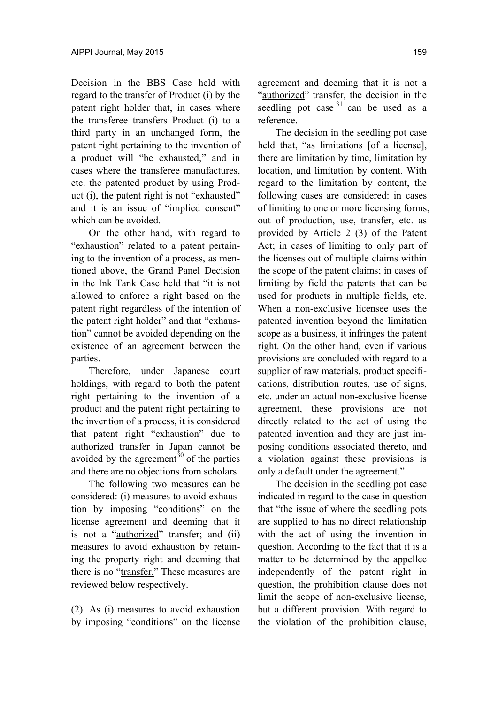Decision in the BBS Case held with regard to the transfer of Product (i) by the patent right holder that, in cases where the transferee transfers Product (i) to a third party in an unchanged form, the patent right pertaining to the invention of a product will "be exhausted," and in cases where the transferee manufactures, etc. the patented product by using Product (i), the patent right is not "exhausted" and it is an issue of "implied consent" which can be avoided.

On the other hand, with regard to "exhaustion" related to a patent pertaining to the invention of a process, as mentioned above, the Grand Panel Decision in the Ink Tank Case held that "it is not allowed to enforce a right based on the patent right regardless of the intention of the patent right holder" and that "exhaustion" cannot be avoided depending on the existence of an agreement between the parties.

Therefore, under Japanese court holdings, with regard to both the patent right pertaining to the invention of a product and the patent right pertaining to the invention of a process, it is considered that patent right "exhaustion" due to authorized transfer in Japan cannot be avoided by the agreement<sup>30</sup> of the parties and there are no objections from scholars.

The following two measures can be considered: (i) measures to avoid exhaustion by imposing "conditions" on the license agreement and deeming that it is not a "authorized" transfer; and (ii) measures to avoid exhaustion by retaining the property right and deeming that there is no "transfer." These measures are reviewed below respectively.

(2) As (i) measures to avoid exhaustion by imposing "conditions" on the license agreement and deeming that it is not a "authorized" transfer, the decision in the seedling pot case  $31$  can be used as a reference.

The decision in the seedling pot case held that, "as limitations [of a license], there are limitation by time, limitation by location, and limitation by content. With regard to the limitation by content, the following cases are considered: in cases of limiting to one or more licensing forms, out of production, use, transfer, etc. as provided by Article 2 (3) of the Patent Act; in cases of limiting to only part of the licenses out of multiple claims within the scope of the patent claims; in cases of limiting by field the patents that can be used for products in multiple fields, etc. When a non-exclusive licensee uses the patented invention beyond the limitation scope as a business, it infringes the patent right. On the other hand, even if various provisions are concluded with regard to a supplier of raw materials, product specifications, distribution routes, use of signs, etc. under an actual non-exclusive license agreement, these provisions are not directly related to the act of using the patented invention and they are just imposing conditions associated thereto, and a violation against these provisions is only a default under the agreement."

The decision in the seedling pot case indicated in regard to the case in question that "the issue of where the seedling pots are supplied to has no direct relationship with the act of using the invention in question. According to the fact that it is a matter to be determined by the appellee independently of the patent right in question, the prohibition clause does not limit the scope of non-exclusive license, but a different provision. With regard to the violation of the prohibition clause,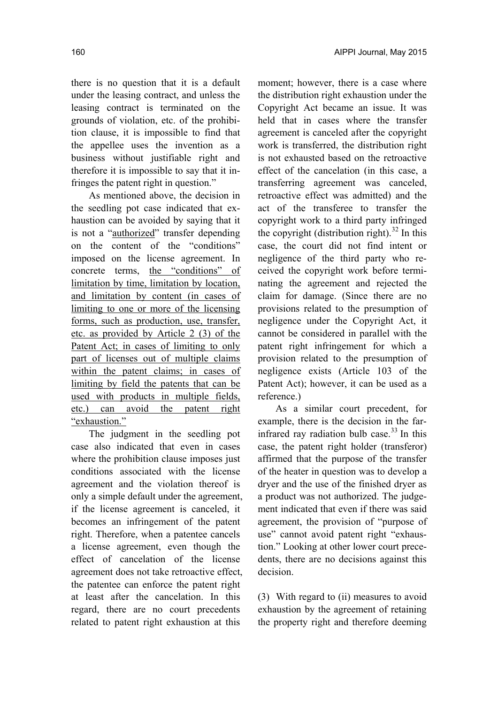there is no question that it is a default under the leasing contract, and unless the leasing contract is terminated on the grounds of violation, etc. of the prohibition clause, it is impossible to find that the appellee uses the invention as a business without justifiable right and therefore it is impossible to say that it infringes the patent right in question."

As mentioned above, the decision in the seedling pot case indicated that exhaustion can be avoided by saying that it is not a "authorized" transfer depending on the content of the "conditions" imposed on the license agreement. In concrete terms, the "conditions" of limitation by time, limitation by location, and limitation by content (in cases of limiting to one or more of the licensing forms, such as production, use, transfer, etc. as provided by Article 2 (3) of the Patent Act; in cases of limiting to only part of licenses out of multiple claims within the patent claims; in cases of limiting by field the patents that can be used with products in multiple fields, etc.) can avoid the patent right "exhaustion."

The judgment in the seedling pot case also indicated that even in cases where the prohibition clause imposes just conditions associated with the license agreement and the violation thereof is only a simple default under the agreement, if the license agreement is canceled, it becomes an infringement of the patent right. Therefore, when a patentee cancels a license agreement, even though the effect of cancelation of the license agreement does not take retroactive effect, the patentee can enforce the patent right at least after the cancelation. In this regard, there are no court precedents related to patent right exhaustion at this

moment; however, there is a case where the distribution right exhaustion under the Copyright Act became an issue. It was held that in cases where the transfer agreement is canceled after the copyright work is transferred, the distribution right is not exhausted based on the retroactive effect of the cancelation (in this case, a transferring agreement was canceled, retroactive effect was admitted) and the act of the transferee to transfer the copyright work to a third party infringed the copyright (distribution right).<sup>32</sup> In this case, the court did not find intent or negligence of the third party who received the copyright work before terminating the agreement and rejected the claim for damage. (Since there are no provisions related to the presumption of negligence under the Copyright Act, it cannot be considered in parallel with the patent right infringement for which a provision related to the presumption of negligence exists (Article 103 of the Patent Act); however, it can be used as a reference.)

As a similar court precedent, for example, there is the decision in the farinfrared ray radiation bulb case. $^{33}$  In this case, the patent right holder (transferor) affirmed that the purpose of the transfer of the heater in question was to develop a dryer and the use of the finished dryer as a product was not authorized. The judgement indicated that even if there was said agreement, the provision of "purpose of use" cannot avoid patent right "exhaustion." Looking at other lower court precedents, there are no decisions against this decision.

(3) With regard to (ii) measures to avoid exhaustion by the agreement of retaining the property right and therefore deeming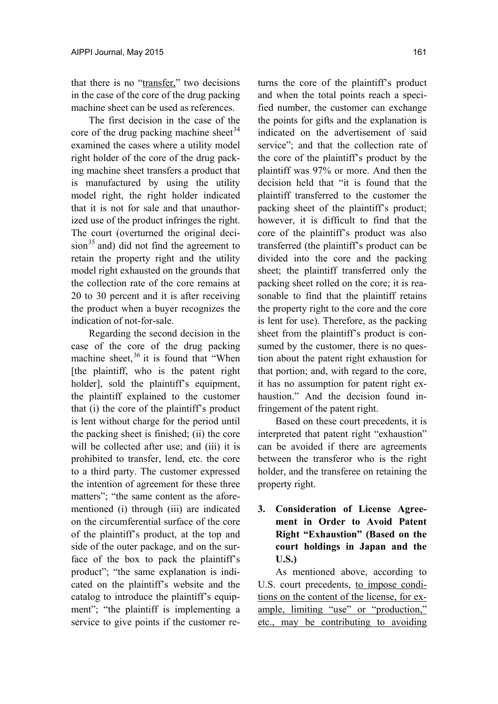that there is no "transfer," two decisions in the case of the core of the drug packing machine sheet can be used as references.

The first decision in the case of the core of the drug packing machine sheet<sup>34</sup> examined the cases where a utility model right holder of the core of the drug packing machine sheet transfers a product that is manufactured by using the utility model right, the right holder indicated that it is not for sale and that unauthorized use of the product infringes the right. The court (overturned the original deci $sion<sup>35</sup>$  and) did not find the agreement to retain the property right and the utility model right exhausted on the grounds that the collection rate of the core remains at 20 to 30 percent and it is after receiving the product when a buyer recognizes the indication of not-for-sale.

Regarding the second decision in the case of the core of the drug packing machine sheet,  $36$  it is found that "When [the plaintiff, who is the patent right holder], sold the plaintiff's equipment, the plaintiff explained to the customer that (i) the core of the plaintiff's product is lent without charge for the period until the packing sheet is finished; (ii) the core will be collected after use; and (iii) it is prohibited to transfer, lend, etc. the core to a third party. The customer expressed the intention of agreement for these three matters"; "the same content as the aforementioned (i) through (iii) are indicated on the circumferential surface of the core of the plaintiff's product, at the top and side of the outer package, and on the surface of the box to pack the plaintiff's product"; "the same explanation is indicated on the plaintiff's website and the catalog to introduce the plaintiff's equipment"; "the plaintiff is implementing a service to give points if the customer returns the core of the plaintiff's product and when the total points reach a specified number, the customer can exchange the points for gifts and the explanation is indicated on the advertisement of said service"; and that the collection rate of the core of the plaintiff's product by the plaintiff was 97% or more. And then the decision held that "it is found that the plaintiff transferred to the customer the packing sheet of the plaintiff's product; however, it is difficult to find that the core of the plaintiff's product was also transferred (the plaintiff's product can be divided into the core and the packing sheet; the plaintiff transferred only the packing sheet rolled on the core; it is reasonable to find that the plaintiff retains the property right to the core and the core is lent for use). Therefore, as the packing sheet from the plaintiff's product is consumed by the customer, there is no question about the patent right exhaustion for that portion; and, with regard to the core, it has no assumption for patent right exhaustion." And the decision found infringement of the patent right.

Based on these court precedents, it is interpreted that patent right "exhaustion" can be avoided if there are agreements between the transferor who is the right holder, and the transferee on retaining the property right.

**3. Consideration of License Agreement in Order to Avoid Patent Right "Exhaustion" (Based on the court holdings in Japan and the U.S.)** 

As mentioned above, according to U.S. court precedents, to impose conditions on the content of the license, for example, limiting "use" or "production," etc., may be contributing to avoiding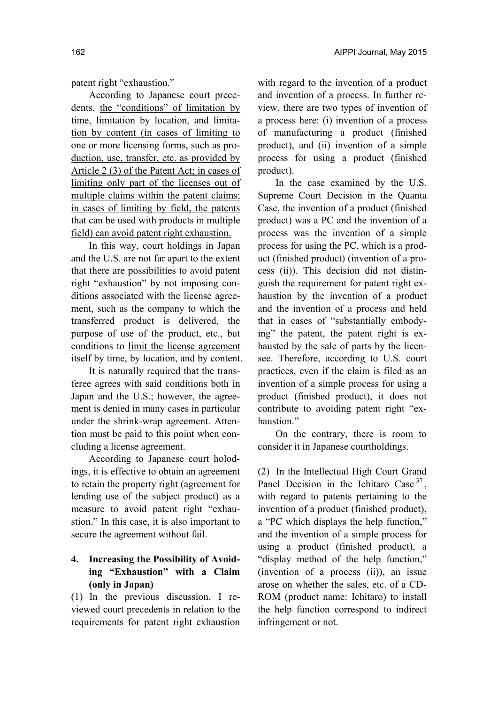patent right "exhaustion."

According to Japanese court precedents, the "conditions" of limitation by time, limitation by location, and limitation by content (in cases of limiting to one or more licensing forms, such as production, use, transfer, etc. as provided by Article 2 (3) of the Patent Act; in cases of limiting only part of the licenses out of multiple claims within the patent claims; in cases of limiting by field, the patents that can be used with products in multiple field) can avoid patent right exhaustion.

In this way, court holdings in Japan and the U.S. are not far apart to the extent that there are possibilities to avoid patent right "exhaustion" by not imposing conditions associated with the license agreement, such as the company to which the transferred product is delivered, the purpose of use of the product, etc., but conditions to limit the license agreement itself by time, by location, and by content.

It is naturally required that the transferee agrees with said conditions both in Japan and the U.S.; however, the agreement is denied in many cases in particular under the shrink-wrap agreement. Attention must be paid to this point when concluding a license agreement.

According to Japanese court holodings, it is effective to obtain an agreement to retain the property right (agreement for lending use of the subject product) as a measure to avoid patent right "exhaustion." In this case, it is also important to secure the agreement without fail.

### **4. Increasing the Possibility of Avoiding "Exhaustion" with a Claim (only in Japan)**

(1) In the previous discussion, I reviewed court precedents in relation to the requirements for patent right exhaustion with regard to the invention of a product and invention of a process. In further review, there are two types of invention of a process here: (i) invention of a process of manufacturing a product (finished product), and (ii) invention of a simple process for using a product (finished product).

In the case examined by the U.S. Supreme Court Decision in the Quanta Case, the invention of a product (finished product) was a PC and the invention of a process was the invention of a simple process for using the PC, which is a product (finished product) (invention of a process (ii)). This decision did not distinguish the requirement for patent right exhaustion by the invention of a product and the invention of a process and held that in cases of "substantially embodying" the patent, the patent right is exhausted by the sale of parts by the licensee. Therefore, according to U.S. court practices, even if the claim is filed as an invention of a simple process for using a product (finished product), it does not contribute to avoiding patent right "exhaustion."

On the contrary, there is room to consider it in Japanese courtholdings.

(2) In the Intellectual High Court Grand Panel Decision in the Ichitaro Case<sup>37</sup>. with regard to patents pertaining to the invention of a product (finished product), a "PC which displays the help function," and the invention of a simple process for using a product (finished product), a "display method of the help function," (invention of a process (ii)), an issue arose on whether the sales, etc. of a CD-ROM (product name: Ichitaro) to install the help function correspond to indirect infringement or not.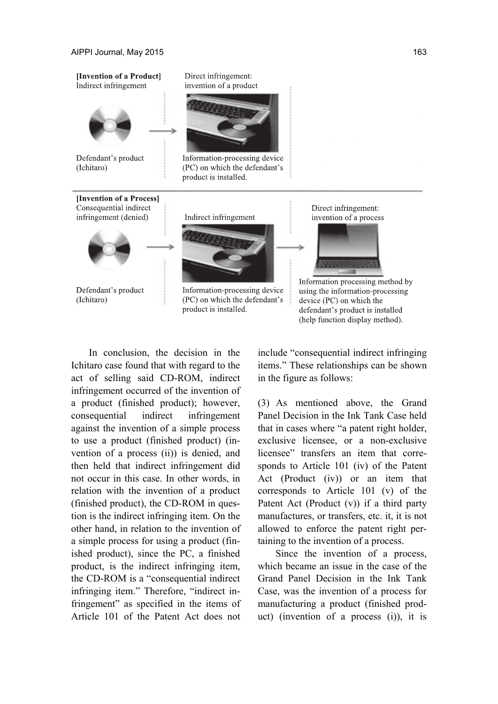

In conclusion, the decision in the Ichitaro case found that with regard to the act of selling said CD-ROM, indirect infringement occurred of the invention of a product (finished product); however, consequential indirect infringement against the invention of a simple process to use a product (finished product) (invention of a process (ii)) is denied, and then held that indirect infringement did not occur in this case. In other words, in relation with the invention of a product (finished product), the CD-ROM in question is the indirect infringing item. On the other hand, in relation to the invention of a simple process for using a product (finished product), since the PC, a finished product, is the indirect infringing item, the CD-ROM is a "consequential indirect infringing item." Therefore, "indirect infringement" as specified in the items of Article 101 of the Patent Act does not

include "consequential indirect infringing items." These relationships can be shown in the figure as follows:

(3) As mentioned above, the Grand Panel Decision in the Ink Tank Case held that in cases where "a patent right holder, exclusive licensee, or a non-exclusive licensee" transfers an item that corresponds to Article 101 (iv) of the Patent Act (Product (iv)) or an item that corresponds to Article 101 (v) of the Patent Act (Product (v)) if a third party manufactures, or transfers, etc. it, it is not allowed to enforce the patent right pertaining to the invention of a process.

Since the invention of a process, which became an issue in the case of the Grand Panel Decision in the Ink Tank Case, was the invention of a process for manufacturing a product (finished product) (invention of a process (i)), it is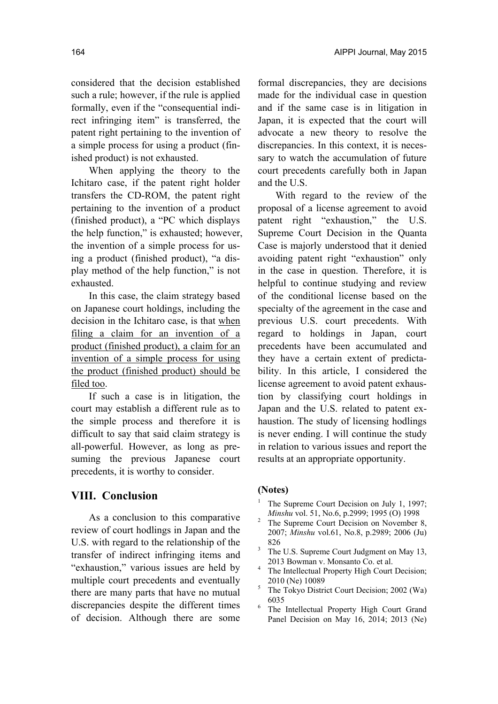considered that the decision established such a rule; however, if the rule is applied formally, even if the "consequential indirect infringing item" is transferred, the patent right pertaining to the invention of a simple process for using a product (finished product) is not exhausted.

When applying the theory to the Ichitaro case, if the patent right holder transfers the CD-ROM, the patent right pertaining to the invention of a product (finished product), a "PC which displays the help function," is exhausted; however, the invention of a simple process for using a product (finished product), "a display method of the help function," is not exhausted.

In this case, the claim strategy based on Japanese court holdings, including the decision in the Ichitaro case, is that when filing a claim for an invention of a product (finished product), a claim for an invention of a simple process for using the product (finished product) should be filed too.

If such a case is in litigation, the court may establish a different rule as to the simple process and therefore it is difficult to say that said claim strategy is all-powerful. However, as long as presuming the previous Japanese court precedents, it is worthy to consider.

### **VIII. Conclusion**

As a conclusion to this comparative review of court hodlings in Japan and the U.S. with regard to the relationship of the transfer of indirect infringing items and "exhaustion," various issues are held by multiple court precedents and eventually there are many parts that have no mutual discrepancies despite the different times of decision. Although there are some

formal discrepancies, they are decisions made for the individual case in question and if the same case is in litigation in Japan, it is expected that the court will advocate a new theory to resolve the discrepancies. In this context, it is necessary to watch the accumulation of future court precedents carefully both in Japan and the U.S.

With regard to the review of the proposal of a license agreement to avoid patent right "exhaustion," the U.S. Supreme Court Decision in the Quanta Case is majorly understood that it denied avoiding patent right "exhaustion" only in the case in question. Therefore, it is helpful to continue studying and review of the conditional license based on the specialty of the agreement in the case and previous U.S. court precedents. With regard to holdings in Japan, court precedents have been accumulated and they have a certain extent of predictability. In this article, I considered the license agreement to avoid patent exhaustion by classifying court holdings in Japan and the U.S. related to patent exhaustion. The study of licensing hodlings is never ending. I will continue the study in relation to various issues and report the results at an appropriate opportunity.

#### **(Notes)**

- 1 The Supreme Court Decision on July 1, 1997; *Minshu* vol. 51, No.6, p.2999; 1995 (O) 1998
- The Supreme Court Decision on November 8, 2007; *Minshu* vol.61, No.8, p.2989; 2006 (Ju)  $\frac{826}{3}$
- The U.S. Supreme Court Judgment on May 13, 2013 Bowman v. Monsanto Co. et al.
- The Intellectual Property High Court Decision;  $2010$  (Ne)  $10089$
- The Tokyo District Court Decision; 2002 (Wa)  $6035$ <br> $h_{\rm B}$
- The Intellectual Property High Court Grand Panel Decision on May 16, 2014; 2013 (Ne)